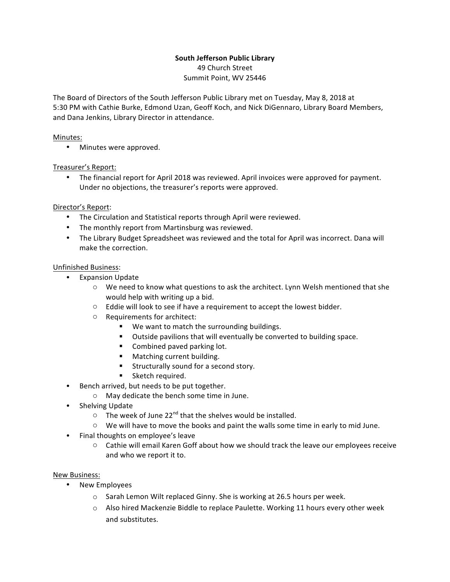# **South Jefferson Public Library**

49 Church Street Summit Point, WV 25446

The Board of Directors of the South Jefferson Public Library met on Tuesday, May 8, 2018 at 5:30 PM with Cathie Burke, Edmond Uzan, Geoff Koch, and Nick DiGennaro, Library Board Members, and Dana Jenkins, Library Director in attendance.

# Minutes:

• Minutes were approved.

# Treasurer's Report:

The financial report for April 2018 was reviewed. April invoices were approved for payment. Under no objections, the treasurer's reports were approved.

# Director's Report:

- The Circulation and Statistical reports through April were reviewed.
- The monthly report from Martinsburg was reviewed.
- The Library Budget Spreadsheet was reviewed and the total for April was incorrect. Dana will make the correction.

### Unfinished Business:

- Expansion Update
	- $\circ$  We need to know what questions to ask the architect. Lynn Welsh mentioned that she would help with writing up a bid.
	- $\circ$  Eddie will look to see if have a requirement to accept the lowest bidder.
	- $\circ$  Requirements for architect:
		- We want to match the surrounding buildings.
		- Outside pavilions that will eventually be converted to building space.
		- Combined paved parking lot.
		- Matching current building.
		- Structurally sound for a second story.
		- **•** Sketch required.
- Bench arrived, but needs to be put together.
	- $\circ$  May dedicate the bench some time in June.
- Shelving Update
	- $\circ$  The week of June 22<sup>nd</sup> that the shelves would be installed.
	- $\circ$  We will have to move the books and paint the walls some time in early to mid June.
- Final thoughts on employee's leave
	- $\circ$  Cathie will email Karen Goff about how we should track the leave our employees receive and who we report it to.

### New Business:

- New Employees
	- $\circ$  Sarah Lemon Wilt replaced Ginny. She is working at 26.5 hours per week.
	- $\circ$  Also hired Mackenzie Biddle to replace Paulette. Working 11 hours every other week and substitutes.